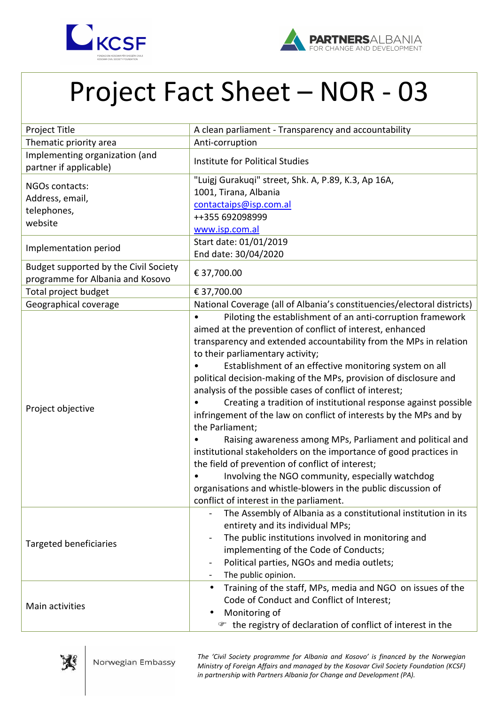



## Project Fact Sheet – NOR - 03

| Project Title                         | A clean parliament - Transparency and accountability                    |
|---------------------------------------|-------------------------------------------------------------------------|
| Thematic priority area                | Anti-corruption                                                         |
| Implementing organization (and        | Institute for Political Studies                                         |
| partner if applicable)                |                                                                         |
| NGOs contacts:                        | "Luigj Gurakuqi" street, Shk. A, P.89, K.3, Ap 16A,                     |
| Address, email,                       | 1001, Tirana, Albania                                                   |
| telephones,                           | contactaips@isp.com.al                                                  |
| website                               | ++355 692098999                                                         |
|                                       | www.isp.com.al                                                          |
| Implementation period                 | Start date: 01/01/2019                                                  |
|                                       | End date: 30/04/2020                                                    |
| Budget supported by the Civil Society | € 37,700.00                                                             |
| programme for Albania and Kosovo      |                                                                         |
| Total project budget                  | € 37,700.00                                                             |
| Geographical coverage                 | National Coverage (all of Albania's constituencies/electoral districts) |
| Project objective                     | Piloting the establishment of an anti-corruption framework              |
|                                       | aimed at the prevention of conflict of interest, enhanced               |
|                                       | transparency and extended accountability from the MPs in relation       |
|                                       | to their parliamentary activity;                                        |
|                                       | Establishment of an effective monitoring system on all                  |
|                                       | political decision-making of the MPs, provision of disclosure and       |
|                                       | analysis of the possible cases of conflict of interest;                 |
|                                       | Creating a tradition of institutional response against possible         |
|                                       | infringement of the law on conflict of interests by the MPs and by      |
|                                       | the Parliament;                                                         |
|                                       | Raising awareness among MPs, Parliament and political and               |
|                                       | institutional stakeholders on the importance of good practices in       |
|                                       | the field of prevention of conflict of interest;                        |
|                                       | Involving the NGO community, especially watchdog                        |
|                                       | organisations and whistle-blowers in the public discussion of           |
|                                       | conflict of interest in the parliament.                                 |
| <b>Targeted beneficiaries</b>         | The Assembly of Albania as a constitutional institution in its          |
|                                       | entirety and its individual MPs;                                        |
|                                       | The public institutions involved in monitoring and                      |
|                                       | implementing of the Code of Conducts;                                   |
|                                       | Political parties, NGOs and media outlets;                              |
|                                       | The public opinion.                                                     |
| Main activities                       | Training of the staff, MPs, media and NGO on issues of the              |
|                                       | Code of Conduct and Conflict of Interest;                               |
|                                       | Monitoring of                                                           |
|                                       | the registry of declaration of conflict of interest in the<br>☞         |



*The 'Civil Society programme for Albania and Kosovo' is financed by the Norwegian Ministry of Foreign Affairs and managed by the Kosovar Civil Society Foundation (KCSF) in partnership with Partners Albania for Change and Development (PA).*